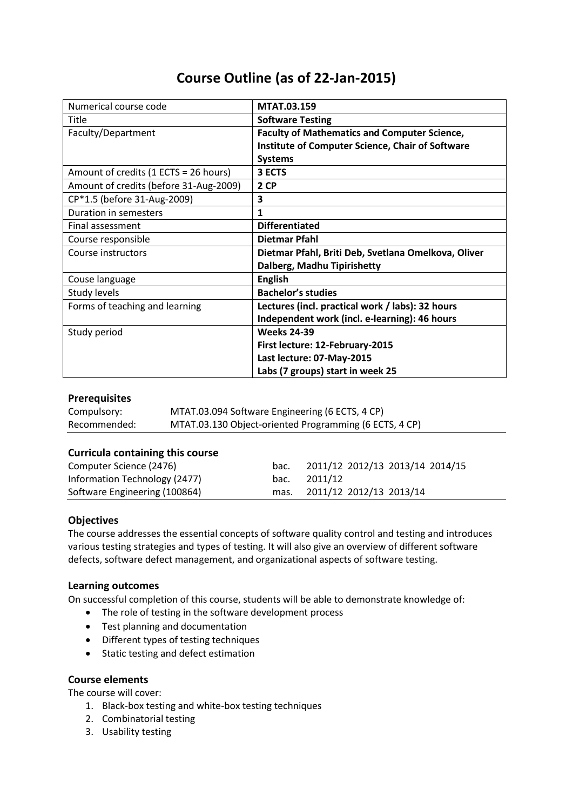# **Course Outline (as of 22-Jan-2015)**

| Numerical course code                  | MTAT.03.159                                             |  |  |
|----------------------------------------|---------------------------------------------------------|--|--|
| Title                                  | <b>Software Testing</b>                                 |  |  |
| Faculty/Department                     | <b>Faculty of Mathematics and Computer Science,</b>     |  |  |
|                                        | <b>Institute of Computer Science, Chair of Software</b> |  |  |
|                                        | <b>Systems</b>                                          |  |  |
| Amount of credits (1 ECTS = 26 hours)  | 3 ECTS                                                  |  |  |
| Amount of credits (before 31-Aug-2009) | 2 CP                                                    |  |  |
| CP*1.5 (before 31-Aug-2009)            | 3                                                       |  |  |
| Duration in semesters                  | 1                                                       |  |  |
| Final assessment                       | <b>Differentiated</b>                                   |  |  |
| Course responsible                     | <b>Dietmar Pfahl</b>                                    |  |  |
| Course instructors                     | Dietmar Pfahl, Briti Deb, Svetlana Omelkova, Oliver     |  |  |
|                                        | Dalberg, Madhu Tipirishetty                             |  |  |
| Couse language                         | <b>English</b>                                          |  |  |
| Study levels                           | <b>Bachelor's studies</b>                               |  |  |
| Forms of teaching and learning         | Lectures (incl. practical work / labs): 32 hours        |  |  |
|                                        | Independent work (incl. e-learning): 46 hours           |  |  |
| Study period                           | <b>Weeks 24-39</b>                                      |  |  |
|                                        | First lecture: 12-February-2015                         |  |  |
|                                        | Last lecture: 07-May-2015                               |  |  |
|                                        | Labs (7 groups) start in week 25                        |  |  |

# **Prerequisites**

| Compulsory:  | MTAT.03.094 Software Engineering (6 ECTS, 4 CP)        |
|--------------|--------------------------------------------------------|
| Recommended: | MTAT.03.130 Object-oriented Programming (6 ECTS, 4 CP) |

#### **Curricula containing this course**

| Computer Science (2476)       | bac. | 2011/12 2012/13 2013/14 2014/15 |
|-------------------------------|------|---------------------------------|
| Information Technology (2477) | bac. | 2011/12                         |
| Software Engineering (100864) | mas. | 2011/12 2012/13 2013/14         |

#### **Objectives**

The course addresses the essential concepts of software quality control and testing and introduces various testing strategies and types of testing. It will also give an overview of different software defects, software defect management, and organizational aspects of software testing.

#### **Learning outcomes**

On successful completion of this course, students will be able to demonstrate knowledge of:

- The role of testing in the software development process
- Test planning and documentation
- Different types of testing techniques
- Static testing and defect estimation

## **Course elements**

The course will cover:

- 1. Black-box testing and white-box testing techniques
- 2. Combinatorial testing
- 3. Usability testing